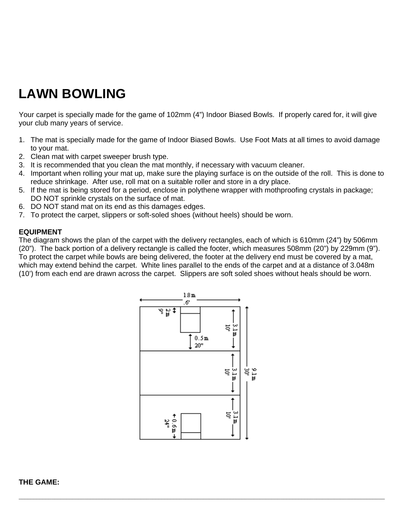# **LAWN BOWLING**

Your carpet is specially made for the game of 102mm (4") Indoor Biased Bowls. If properly cared for, it will give your club many years of service.

- 1. The mat is specially made for the game of Indoor Biased Bowls. Use Foot Mats at all times to avoid damage to your mat.
- 2. Clean mat with carpet sweeper brush type.
- 3. It is recommended that you clean the mat monthly, if necessary with vacuum cleaner.
- 4. Important when rolling your mat up, make sure the playing surface is on the outside of the roll. This is done to reduce shrinkage. After use, roll mat on a suitable roller and store in a dry place.
- 5. If the mat is being stored for a period, enclose in polythene wrapper with mothproofing crystals in package; DO NOT sprinkle crystals on the surface of mat.
- 6. DO NOT stand mat on its end as this damages edges.
- 7. To protect the carpet, slippers or soft-soled shoes (without heels) should be worn.

# **EQUIPMENT**

The diagram shows the plan of the carpet with the delivery rectangles, each of which is 610mm (24") by 506mm (20"). The back portion of a delivery rectangle is called the footer, which measures 508mm (20") by 229mm (9"). To protect the carpet while bowls are being delivered, the footer at the delivery end must be covered by a mat, which may extend behind the carpet. White lines parallel to the ends of the carpet and at a distance of 3.048m (10') from each end are drawn across the carpet. Slippers are soft soled shoes without heals should be worn.



 $\bot$  , and the set of the set of the set of the set of the set of the set of the set of the set of the set of the set of the set of the set of the set of the set of the set of the set of the set of the set of the set of t

## **THE GAME:**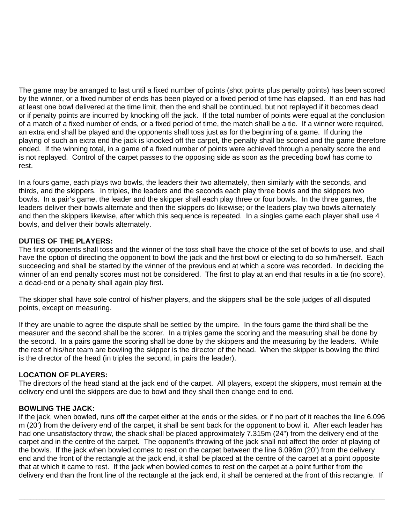The game may be arranged to last until a fixed number of points (shot points plus penalty points) has been scored by the winner, or a fixed number of ends has been played or a fixed period of time has elapsed. If an end has had at least one bowl delivered at the time limit, then the end shall be continued, but not replayed if it becomes dead or if penalty points are incurred by knocking off the jack. If the total number of points were equal at the conclusion of a match of a fixed number of ends, or a fixed period of time, the match shall be a tie. If a winner were required, an extra end shall be played and the opponents shall toss just as for the beginning of a game. If during the playing of such an extra end the jack is knocked off the carpet, the penalty shall be scored and the game therefore ended. If the winning total, in a game of a fixed number of points were achieved through a penalty score the end is not replayed. Control of the carpet passes to the opposing side as soon as the preceding bowl has come to rest.

In a fours game, each plays two bowls, the leaders their two alternately, then similarly with the seconds, and thirds, and the skippers. In triples, the leaders and the seconds each play three bowls and the skippers two bowls. In a pair's game, the leader and the skipper shall each play three or four bowls. In the three games, the leaders deliver their bowls alternate and then the skippers do likewise; or the leaders play two bowls alternately and then the skippers likewise, after which this sequence is repeated. In a singles game each player shall use 4 bowls, and deliver their bowls alternately.

# **DUTIES OF THE PLAYERS:**

The first opponents shall toss and the winner of the toss shall have the choice of the set of bowls to use, and shall have the option of directing the opponent to bowl the jack and the first bowl or electing to do so him/herself. Each succeeding and shall be started by the winner of the previous end at which a score was recorded. In deciding the winner of an end penalty scores must not be considered. The first to play at an end that results in a tie (no score), a dead-end or a penalty shall again play first.

The skipper shall have sole control of his/her players, and the skippers shall be the sole judges of all disputed points, except on measuring.

If they are unable to agree the dispute shall be settled by the umpire. In the fours game the third shall be the measurer and the second shall be the scorer. In a triples game the scoring and the measuring shall be done by the second. In a pairs game the scoring shall be done by the skippers and the measuring by the leaders. While the rest of his/her team are bowling the skipper is the director of the head. When the skipper is bowling the third is the director of the head (in triples the second, in pairs the leader).

## **LOCATION OF PLAYERS:**

The directors of the head stand at the jack end of the carpet. All players, except the skippers, must remain at the delivery end until the skippers are due to bowl and they shall then change end to end.

## **BOWLING THE JACK:**

If the jack, when bowled, runs off the carpet either at the ends or the sides, or if no part of it reaches the line 6.096 m (20') from the delivery end of the carpet, it shall be sent back for the opponent to bowl it. After each leader has had one unsatisfactory throw, the shack shall be placed approximately 7.315m (24") from the delivery end of the carpet and in the centre of the carpet. The opponent's throwing of the jack shall not affect the order of playing of the bowls. If the jack when bowled comes to rest on the carpet between the line 6.096m (20') from the delivery end and the front of the rectangle at the jack end, it shall be placed at the centre of the carpet at a point opposite that at which it came to rest. If the jack when bowled comes to rest on the carpet at a point further from the delivery end than the front line of the rectangle at the jack end, it shall be centered at the front of this rectangle. If

 $\bot$  , and the set of the set of the set of the set of the set of the set of the set of the set of the set of the set of the set of the set of the set of the set of the set of the set of the set of the set of the set of t